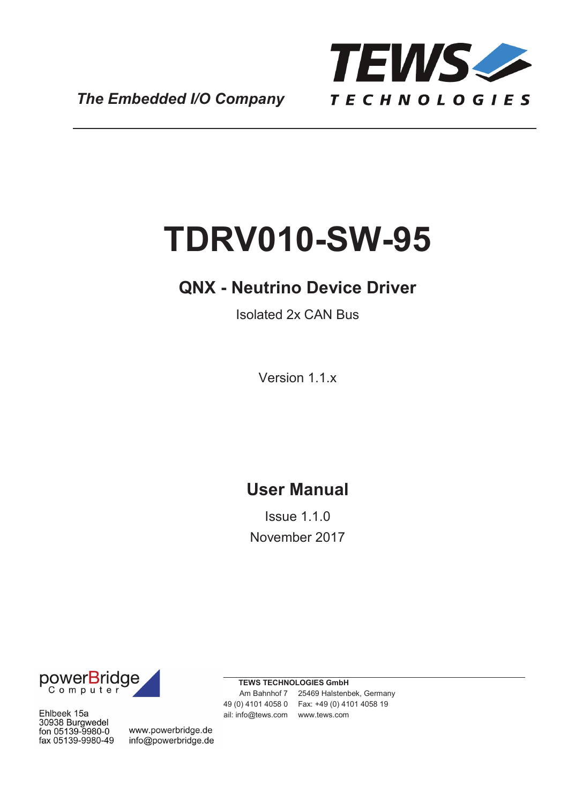

*The Embedded I/O Company*

# **TDRV010-SW-95**

# **QNX - Neutrino Device Driver**

Isolated 2x CAN Bus

Version 1.1.x

# **User Manual**

Issue 1.1.0 November 2017



Ehlbeek 15a 30938 Burgwedel fon 05139-9980-0 fax 05139-9980-49

www.powerbridge.de info@powerbridge.de **TEWS TECHNOLOGIES GmbH**

Am Bahnhof 7 25469 Halstenbek, Germany Phone: +49 (0) 4101 4058 0 Fax: +49 (0) 4101 4058 19 ail: info@tews.com www.tews.com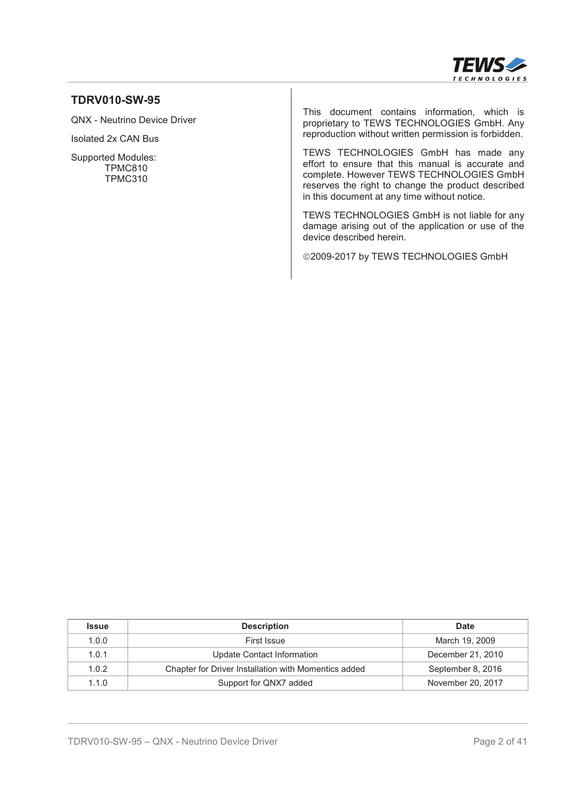

#### **TDRV010-SW-95**

QNX - Neutrino Device Driver

Isolated 2x CAN Bus

Supported Modules: TPMC810 TPMC310

This document contains information, which is proprietary to TEWS TECHNOLOGIES GmbH. Any reproduction without written permission is forbidden.

TEWS TECHNOLOGIES GmbH has made any effort to ensure that this manual is accurate and complete. However TEWS TECHNOLOGIES GmbH reserves the right to change the product described in this document at any time without notice.

TEWS TECHNOLOGIES GmbH is not liable for any damage arising out of the application or use of the device described herein.

©2009-2017 by TEWS TECHNOLOGIES GmbH

| <b>Issue</b> | <b>Description</b>                                   | <b>Date</b>       |
|--------------|------------------------------------------------------|-------------------|
| 1.0.0        | First Issue                                          | March 19, 2009    |
| 1.0.1        | Update Contact Information                           | December 21, 2010 |
| 1.0.2        | Chapter for Driver Installation with Momentics added | September 8, 2016 |
| 1.1.0        | Support for QNX7 added                               | November 20, 2017 |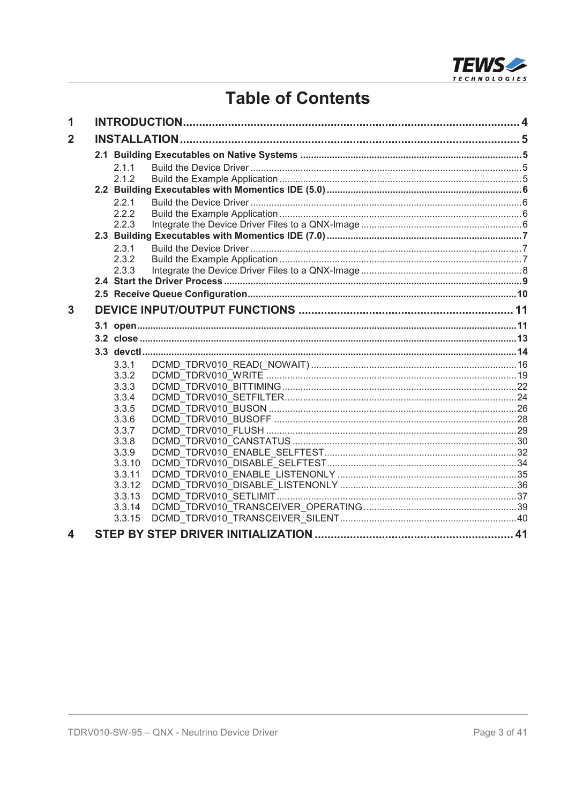

# **Table of Contents**

| 1              |                  |  |
|----------------|------------------|--|
| $\overline{2}$ |                  |  |
|                |                  |  |
|                | 2.1.1            |  |
|                | 2.1.2            |  |
|                |                  |  |
|                | 2.2.1            |  |
|                | 2.2.2            |  |
|                | 2.2.3            |  |
|                |                  |  |
|                | 2.3.1            |  |
|                | 2.3.2            |  |
|                | 2.3.3            |  |
|                |                  |  |
|                |                  |  |
| 3              |                  |  |
|                |                  |  |
|                |                  |  |
|                |                  |  |
|                | 3.3.1            |  |
|                | 3.3.2            |  |
|                | 3.3.3            |  |
|                | 3.3.4            |  |
|                | 3.3.5            |  |
|                | 3.3.6            |  |
|                | 3.3.7            |  |
|                | 3.3.8            |  |
|                | 3.3.9            |  |
|                | 3.3.10           |  |
|                | 3.3.11           |  |
|                | 3.3.12<br>3.3.13 |  |
|                | 3.3.14           |  |
|                | 3.3.15           |  |
| 4              |                  |  |
|                |                  |  |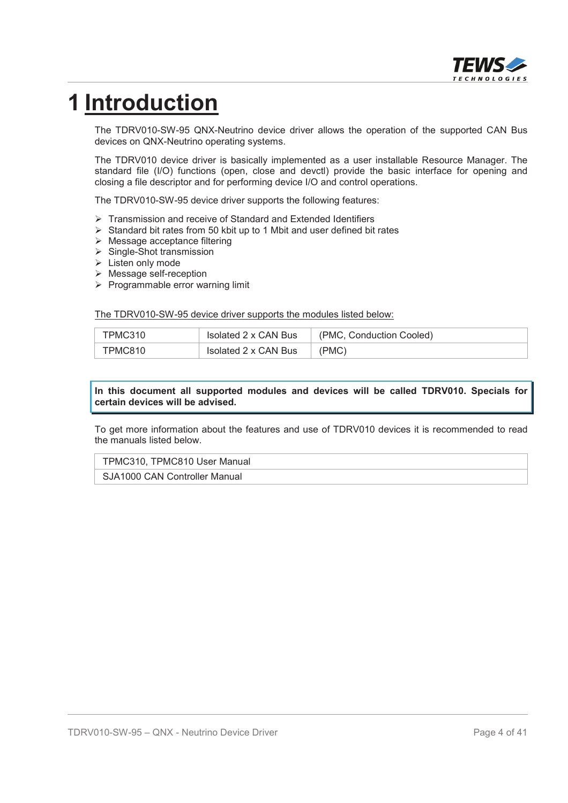

# **1 Introduction**

The TDRV010-SW-95 QNX-Neutrino device driver allows the operation of the supported CAN Bus devices on QNX-Neutrino operating systems.

The TDRV010 device driver is basically implemented as a user installable Resource Manager. The standard file (I/O) functions (open, close and devctl) provide the basic interface for opening and closing a file descriptor and for performing device I/O and control operations.

The TDRV010-SW-95 device driver supports the following features:

- ¾ Transmission and receive of Standard and Extended Identifiers
- $\triangleright$  Standard bit rates from 50 kbit up to 1 Mbit and user defined bit rates
- $\triangleright$  Message acceptance filtering
- $\triangleright$  Single-Shot transmission
- $\triangleright$  Listen only mode
- $\triangleright$  Message self-reception
- $\triangleright$  Programmable error warning limit

The TDRV010-SW-95 device driver supports the modules listed below:

| TPMC310 | Isolated 2 x CAN Bus | (PMC, Conduction Cooled) |
|---------|----------------------|--------------------------|
| TPMC810 | Isolated 2 x CAN Bus | (PMC)                    |

#### **In this document all supported modules and devices will be called TDRV010. Specials for certain devices will be advised.**

To get more information about the features and use of TDRV010 devices it is recommended to read the manuals listed below.

#### TPMC310, TPMC810 User Manual

SJA1000 CAN Controller Manual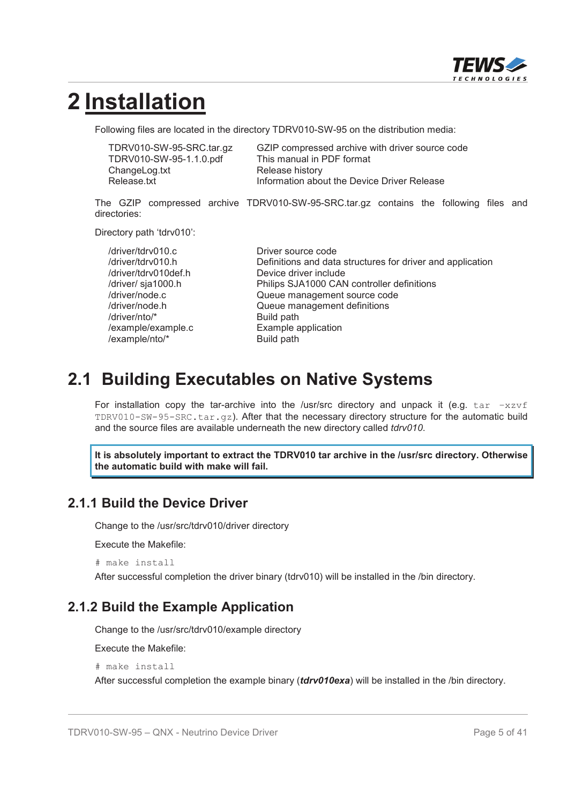

# **2 Installation**

Following files are located in the directory TDRV010-SW-95 on the distribution media:

| TDRV010-SW-95-SRC.tar.gz | GZIP compressed archive with driver source code |
|--------------------------|-------------------------------------------------|
| TDRV010-SW-95-1.1.0.pdf  | This manual in PDF format                       |
| ChangeLog.txt            | Release history                                 |
| Release.txt              | Information about the Device Driver Release     |

The GZIP compressed archive TDRV010-SW-95-SRC.tar.gz contains the following files and directories:

Directory path 'tdrv010':

| /driver/tdrv010.c    | Driver source code                                         |
|----------------------|------------------------------------------------------------|
| /driver/tdrv010.h    | Definitions and data structures for driver and application |
| /driver/tdrv010def.h | Device driver include                                      |
| /driver/ sja1000.h   | Philips SJA1000 CAN controller definitions                 |
| /driver/node.c       | Queue management source code                               |
| /driver/node.h       | Queue management definitions                               |
| /driver/nto/*        | Build path                                                 |
| /example/example.c   | Example application                                        |
| /example/nto/*       | Build path                                                 |

# **2.1 Building Executables on Native Systems**

For installation copy the tar-archive into the /usr/src directory and unpack it (e.g.  $\tan^{-1}x\cot$ TDRV010-SW-95-SRC.tar.gz). After that the necessary directory structure for the automatic build and the source files are available underneath the new directory called *tdrv010*.

**It is absolutely important to extract the TDRV010 tar archive in the /usr/src directory. Otherwise the automatic build with make will fail.**

### **2.1.1 Build the Device Driver**

Change to the /usr/src/tdrv010/driver directory

Execute the Makefile:

# make install

After successful completion the driver binary (tdrv010) will be installed in the /bin directory.

### **2.1.2 Build the Example Application**

Change to the /usr/src/tdrv010/example directory

Execute the Makefile:

# make install

After successful completion the example binary (*tdrv010exa*) will be installed in the /bin directory.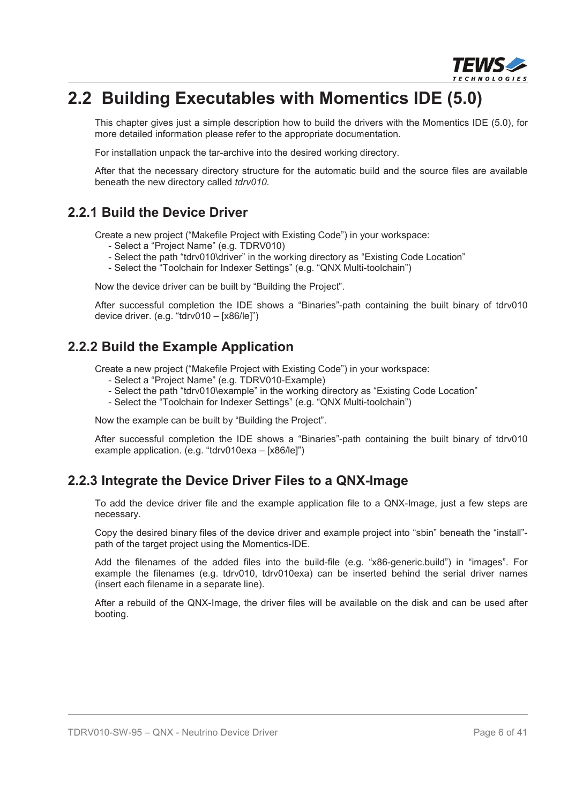

# **2.2 Building Executables with Momentics IDE (5.0)**

This chapter gives just a simple description how to build the drivers with the Momentics IDE (5.0), for more detailed information please refer to the appropriate documentation.

For installation unpack the tar-archive into the desired working directory.

After that the necessary directory structure for the automatic build and the source files are available beneath the new directory called *tdrv010*.

#### **2.2.1 Build the Device Driver**

Create a new project ("Makefile Project with Existing Code") in your workspace:

- Select a "Project Name" (e.g. TDRV010)
- Select the path "tdrv010\driver" in the working directory as "Existing Code Location"
- Select the "Toolchain for Indexer Settings" (e.g. "QNX Multi-toolchain")

Now the device driver can be built by "Building the Project".

After successful completion the IDE shows a "Binaries"-path containing the built binary of tdrv010 device driver. (e.g. "tdrv010 – [x86/le]")

### **2.2.2 Build the Example Application**

Create a new project ("Makefile Project with Existing Code") in your workspace:

- Select a "Project Name" (e.g. TDRV010-Example)
- Select the path "tdrv010\example" in the working directory as "Existing Code Location"
- Select the "Toolchain for Indexer Settings" (e.g. "QNX Multi-toolchain")

Now the example can be built by "Building the Project".

After successful completion the IDE shows a "Binaries"-path containing the built binary of tdrv010 example application. (e.g. "tdrv010exa – [x86/le]")

### **2.2.3 Integrate the Device Driver Files to a QNX-Image**

To add the device driver file and the example application file to a QNX-Image, just a few steps are necessary.

Copy the desired binary files of the device driver and example project into "sbin" beneath the "install" path of the target project using the Momentics-IDE.

Add the filenames of the added files into the build-file (e.g. "x86-generic.build") in "images". For example the filenames (e.g. tdrv010, tdrv010exa) can be inserted behind the serial driver names (insert each filename in a separate line).

After a rebuild of the QNX-Image, the driver files will be available on the disk and can be used after booting.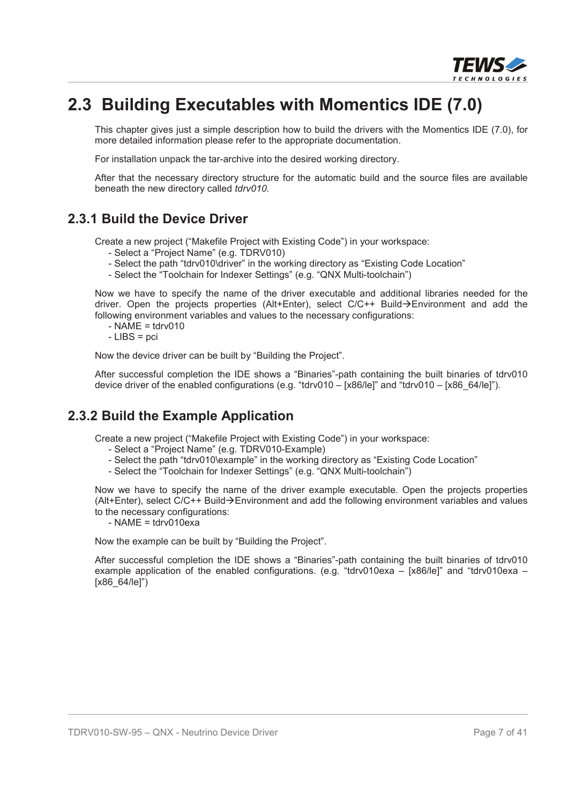

# **2.3 Building Executables with Momentics IDE (7.0)**

This chapter gives just a simple description how to build the drivers with the Momentics IDE (7.0), for more detailed information please refer to the appropriate documentation.

For installation unpack the tar-archive into the desired working directory.

After that the necessary directory structure for the automatic build and the source files are available beneath the new directory called *tdrv010*.

#### **2.3.1 Build the Device Driver**

Create a new project ("Makefile Project with Existing Code") in your workspace:

- Select a "Project Name" (e.g. TDRV010)
- Select the path "tdrv010\driver" in the working directory as "Existing Code Location"
- Select the "Toolchain for Indexer Settings" (e.g. "QNX Multi-toolchain")

Now we have to specify the name of the driver executable and additional libraries needed for the driver. Open the projects properties (Alt+Enter), select  $C/C++$  Build $\rightarrow$ Environment and add the following environment variables and values to the necessary configurations:

- $-$  NAME = tdrv010
- LIBS = pci

Now the device driver can be built by "Building the Project".

After successful completion the IDE shows a "Binaries"-path containing the built binaries of tdrv010 device driver of the enabled configurations (e.g. "tdrv010 – [x86/le]" and "tdrv010 – [x86\_64/le]").

#### **2.3.2 Build the Example Application**

Create a new project ("Makefile Project with Existing Code") in your workspace:

- Select a "Project Name" (e.g. TDRV010-Example)
- Select the path "tdrv010\example" in the working directory as "Existing Code Location"
- Select the "Toolchain for Indexer Settings" (e.g. "QNX Multi-toolchain")

Now we have to specify the name of the driver example executable. Open the projects properties (Alt+Enter), select  $C/C++$  Build $\rightarrow$ Environment and add the following environment variables and values to the necessary configurations:

- NAME = tdrv010exa

Now the example can be built by "Building the Project".

After successful completion the IDE shows a "Binaries"-path containing the built binaries of tdrv010 example application of the enabled configurations. (e.g. "tdrv010exa – [x86/le]" and "tdrv010exa –  $[×86664/|e]")$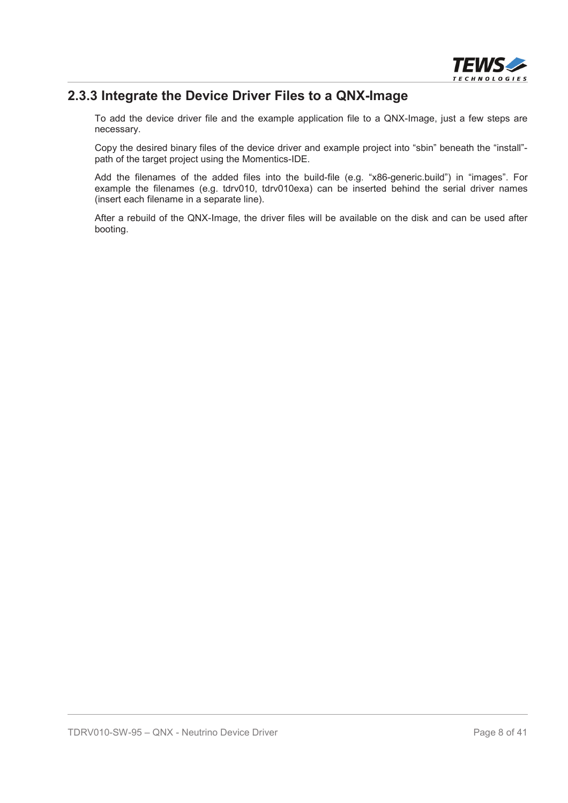

### **2.3.3 Integrate the Device Driver Files to a QNX-Image**

To add the device driver file and the example application file to a QNX-Image, just a few steps are necessary.

Copy the desired binary files of the device driver and example project into "sbin" beneath the "install" path of the target project using the Momentics-IDE.

Add the filenames of the added files into the build-file (e.g. "x86-generic.build") in "images". For example the filenames (e.g. tdrv010, tdrv010exa) can be inserted behind the serial driver names (insert each filename in a separate line).

After a rebuild of the QNX-Image, the driver files will be available on the disk and can be used after booting.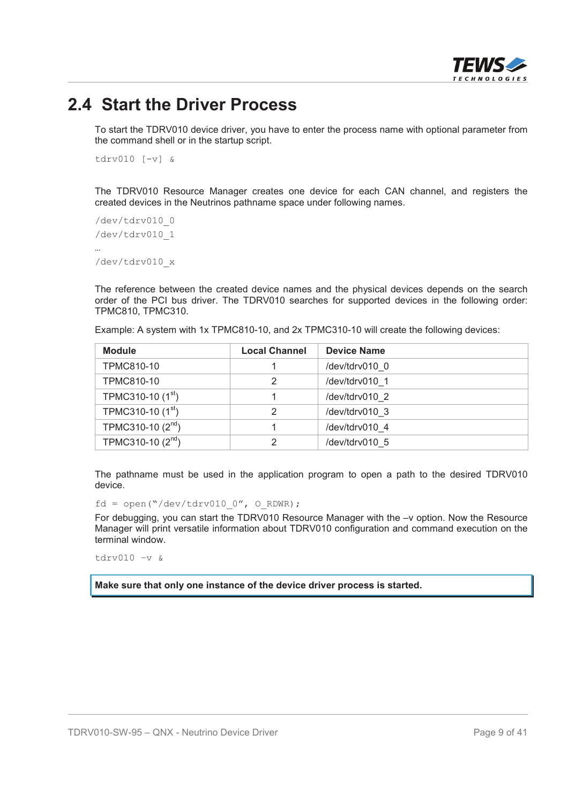

# **2.4 Start the Driver Process**

To start the TDRV010 device driver, you have to enter the process name with optional parameter from the command shell or in the startup script.

tdrv010 [-v] &

The TDRV010 Resource Manager creates one device for each CAN channel, and registers the created devices in the Neutrinos pathname space under following names.

```
/dev/tdrv010_0
/dev/tdrv010_1
…
/dev/tdrv010_x
```
The reference between the created device names and the physical devices depends on the search order of the PCI bus driver. The TDRV010 searches for supported devices in the following order: TPMC810, TPMC310.

| <b>Module</b>                 | <b>Local Channel</b> | <b>Device Name</b> |
|-------------------------------|----------------------|--------------------|
| <b>TPMC810-10</b>             |                      | /dev/tdrv010 0     |
| <b>TPMC810-10</b>             |                      | /dev/tdrv010 1     |
| TPMC310-10 $(1st)$            |                      | /dev/tdrv010 2     |
| TPMC310-10 (1 <sup>st</sup> ) | っ                    | /dev/tdrv010 3     |
| TPMC310-10 $(2^{nd})$         |                      | /dev/tdrv010 4     |
| TPMC310-10 (2 <sup>nd</sup> ) |                      | /dev/tdrv010 5     |

Example: A system with 1x TPMC810-10, and 2x TPMC310-10 will create the following devices:

The pathname must be used in the application program to open a path to the desired TDRV010 device.

 $fd = open('*/dev/tdrv010 0", 0 RDWR);$ 

For debugging, you can start the TDRV010 Resource Manager with the –v option. Now the Resource Manager will print versatile information about TDRV010 configuration and command execution on the terminal window.

tdrv010 –v &

**Make sure that only one instance of the device driver process is started.**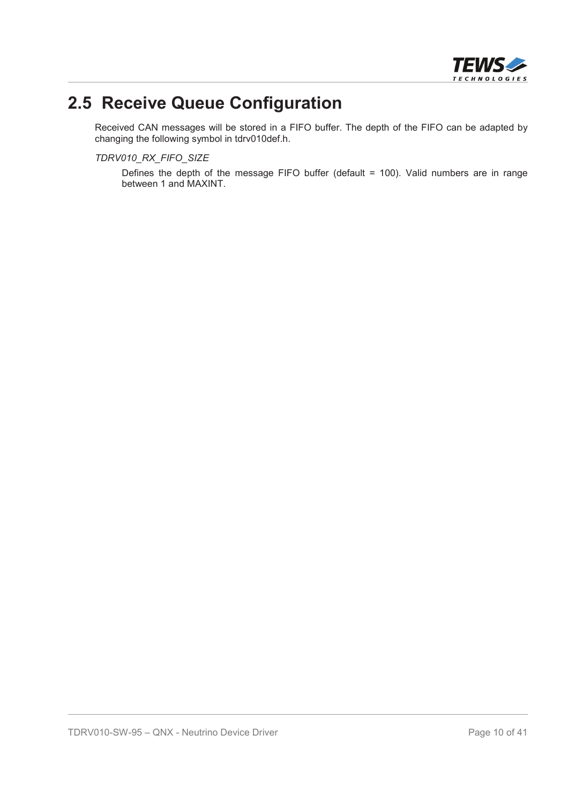

# **2.5 Receive Queue Configuration**

Received CAN messages will be stored in a FIFO buffer. The depth of the FIFO can be adapted by changing the following symbol in tdrv010def.h.

*TDRV010\_RX\_FIFO\_SIZE*

Defines the depth of the message FIFO buffer (default = 100). Valid numbers are in range between 1 and MAXINT.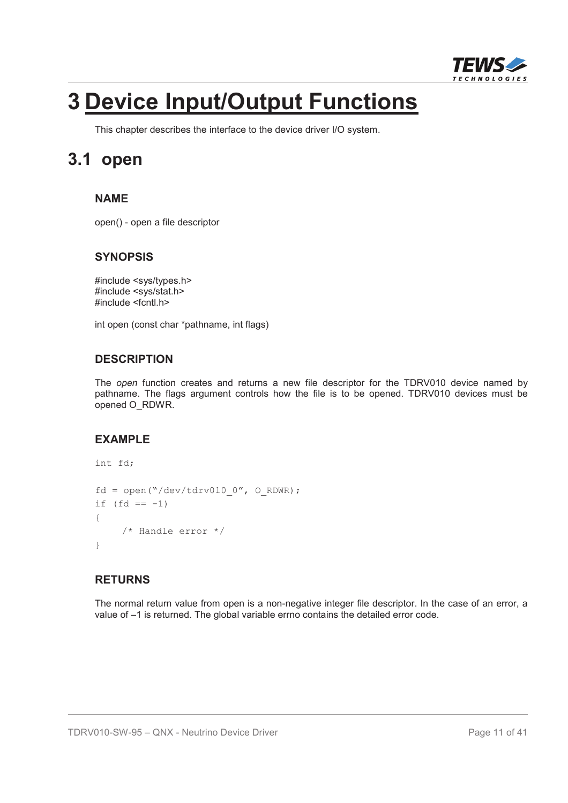

# **3 Device Input/Output Functions**

This chapter describes the interface to the device driver I/O system.

# **3.1 open**

#### **NAME**

open() - open a file descriptor

#### **SYNOPSIS**

#include <sys/types.h> #include <sys/stat.h> #include <fcntl.h>

int open (const char \*pathname, int flags)

#### **DESCRIPTION**

The *open* function creates and returns a new file descriptor for the TDRV010 device named by pathname. The flags argument controls how the file is to be opened. TDRV010 devices must be opened O\_RDWR.

### **EXAMPLE**

```
int fd;
fd = open('Y/dev/tdrv010 0", 0 RDWR);if (fd == -1){
    /* Handle error */
}
```
#### **RETURNS**

The normal return value from open is a non-negative integer file descriptor. In the case of an error, a value of –1 is returned. The global variable errno contains the detailed error code.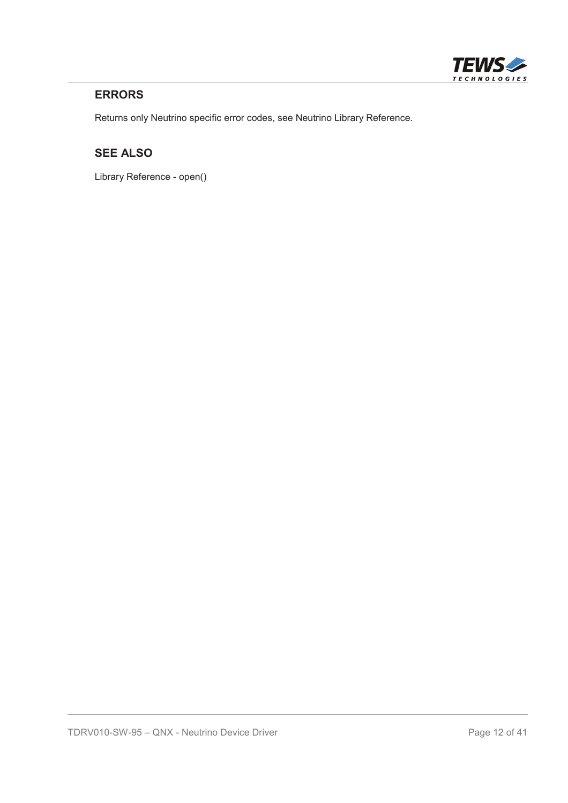

#### **ERRORS**

Returns only Neutrino specific error codes, see Neutrino Library Reference.

### **SEE ALSO**

Library Reference - open()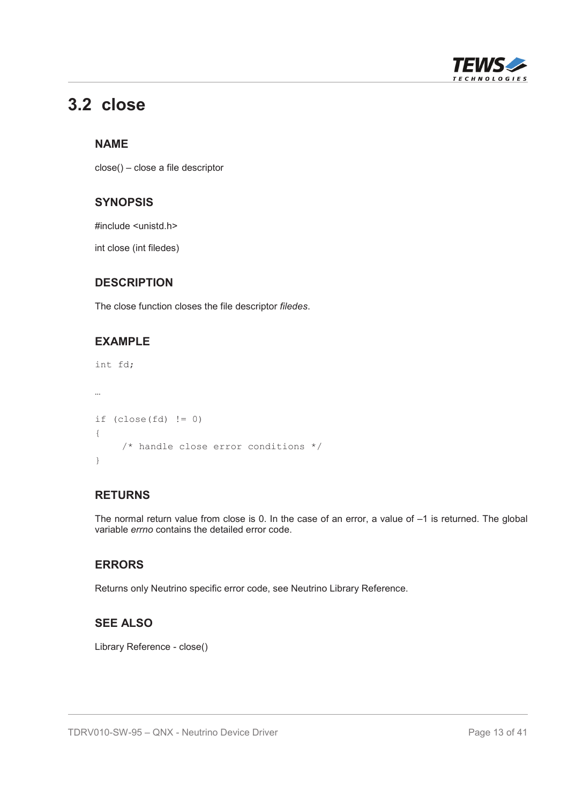

# **3.2 close**

#### **NAME**

close() – close a file descriptor

#### **SYNOPSIS**

#include <unistd.h>

int close (int filedes)

#### **DESCRIPTION**

The close function closes the file descriptor *filedes*.

#### **EXAMPLE**

```
int fd;
…
if (close(fd) != 0){
    /* handle close error conditions */
}
```
#### **RETURNS**

The normal return value from close is 0. In the case of an error, a value of –1 is returned. The global variable *errno* contains the detailed error code.

#### **ERRORS**

Returns only Neutrino specific error code, see Neutrino Library Reference.

#### **SEE ALSO**

Library Reference - close()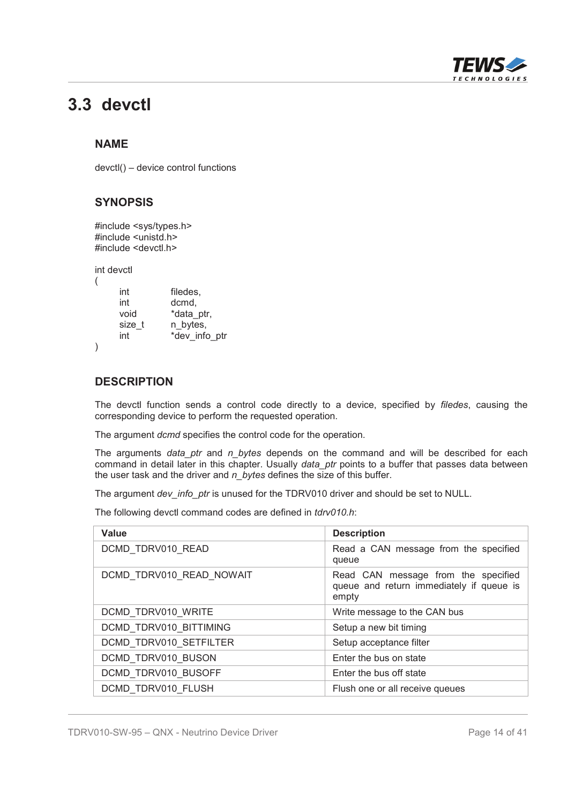

# **3.3 devctl**

#### **NAME**

devctl() – device control functions

#### **SYNOPSIS**

#include <sys/types.h> #include <unistd.h> #include <devctl.h>

int devctl

| int    | filedes,      |
|--------|---------------|
| int    | dcmd,         |
| void   | *data ptr,    |
| size t | n bytes,      |
| int    | *dev info ptr |
|        |               |

#### **DESCRIPTION**

The devctl function sends a control code directly to a device, specified by *filedes*, causing the corresponding device to perform the requested operation.

The argument *dcmd* specifies the control code for the operation.

The arguments *data\_ptr* and *n\_bytes* depends on the command and will be described for each command in detail later in this chapter. Usually *data\_ptr* points to a buffer that passes data between the user task and the driver and *n\_bytes* defines the size of this buffer.

The argument *dev\_info\_ptr* is unused for the TDRV010 driver and should be set to NULL.

The following devctl command codes are defined in *tdrv010.h*:

| Value                    | <b>Description</b>                                                                       |
|--------------------------|------------------------------------------------------------------------------------------|
| DCMD TDRV010 READ        | Read a CAN message from the specified<br>queue                                           |
| DCMD TDRV010 READ NOWAIT | Read CAN message from the specified<br>queue and return immediately if queue is<br>empty |
| DCMD TDRV010 WRITE       | Write message to the CAN bus                                                             |
| DCMD TDRV010 BITTIMING   | Setup a new bit timing                                                                   |
| DCMD TDRV010 SETFILTER   | Setup acceptance filter                                                                  |
| DCMD TDRV010 BUSON       | Enter the bus on state                                                                   |
| DCMD TDRV010 BUSOFF      | Enter the bus off state                                                                  |
| DCMD TDRV010 FLUSH       | Flush one or all receive queues                                                          |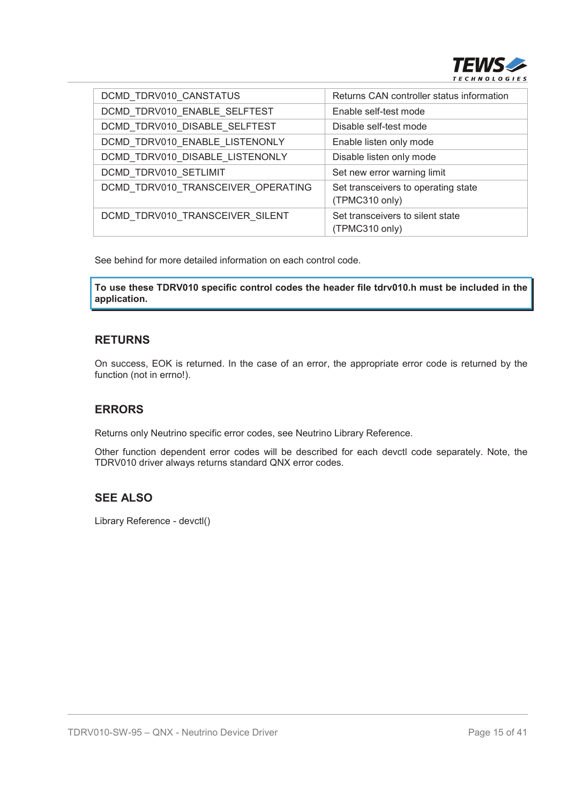

| DCMD TDRV010 CANSTATUS             | Returns CAN controller status information             |
|------------------------------------|-------------------------------------------------------|
| DCMD_TDRV010_ENABLE_SELFTEST       | Enable self-test mode                                 |
| DCMD TDRV010 DISABLE SELFTEST      | Disable self-test mode                                |
| DCMD TDRV010 ENABLE LISTENONLY     | Enable listen only mode                               |
| DCMD TDRV010 DISABLE LISTENONLY    | Disable listen only mode                              |
| DCMD TDRV010 SETLIMIT              | Set new error warning limit                           |
| DCMD TDRV010 TRANSCEIVER OPERATING | Set transceivers to operating state<br>(TPMC310 only) |
| DCMD TDRV010 TRANSCEIVER SILENT    | Set transceivers to silent state<br>(TPMC310 only)    |

See behind for more detailed information on each control code.

**To use these TDRV010 specific control codes the header file tdrv010.h must be included in the application.**

#### **RETURNS**

On success, EOK is returned. In the case of an error, the appropriate error code is returned by the function (not in errno!).

#### **ERRORS**

Returns only Neutrino specific error codes, see Neutrino Library Reference.

Other function dependent error codes will be described for each devctl code separately. Note, the TDRV010 driver always returns standard QNX error codes.

#### **SEE ALSO**

Library Reference - devctl()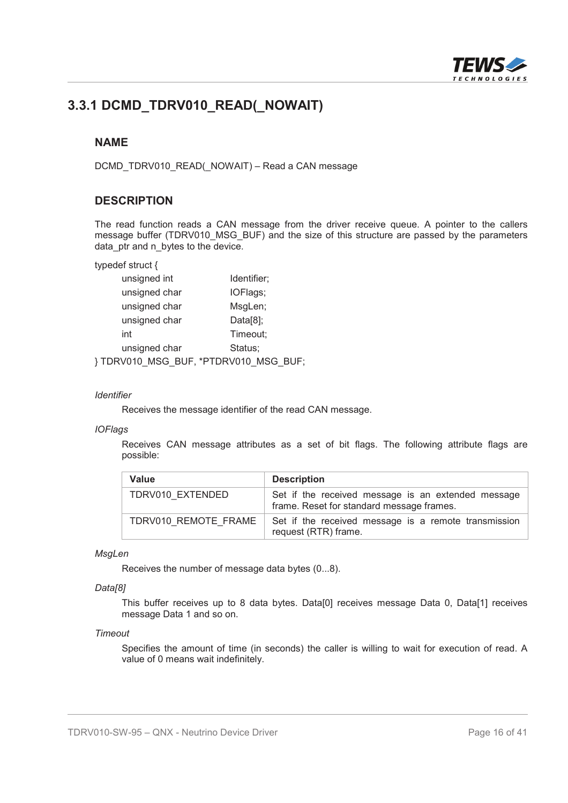

# **3.3.1 DCMD\_TDRV010\_READ(\_NOWAIT)**

#### **NAME**

DCMD\_TDRV010\_READ(\_NOWAIT) – Read a CAN message

#### **DESCRIPTION**

The read function reads a CAN message from the driver receive queue. A pointer to the callers message buffer (TDRV010 MSG BUF) and the size of this structure are passed by the parameters data ptr and n bytes to the device.

typedef struct {

| unsigned int  | Identifier; |
|---------------|-------------|
| unsigned char | IOFlags;    |
| unsigned char | MsgLen;     |
| unsigned char | $Data[8]$ ; |
| int           | Timeout;    |
| unsigned char | Status;     |
|               |             |

} TDRV010\_MSG\_BUF, \*PTDRV010\_MSG\_BUF;

#### *Identifier*

Receives the message identifier of the read CAN message.

#### *IOFlags*

Receives CAN message attributes as a set of bit flags. The following attribute flags are possible:

| <b>Value</b>         | <b>Description</b>                                                                              |
|----------------------|-------------------------------------------------------------------------------------------------|
| TDRV010 EXTENDED     | Set if the received message is an extended message<br>frame. Reset for standard message frames. |
| TDRV010 REMOTE FRAME | Set if the received message is a remote transmission<br>request (RTR) frame.                    |

#### *MsgLen*

Receives the number of message data bytes (0...8).

#### *Data[8]*

This buffer receives up to 8 data bytes. Data[0] receives message Data 0, Data[1] receives message Data 1 and so on.

#### *Timeout*

Specifies the amount of time (in seconds) the caller is willing to wait for execution of read. A value of 0 means wait indefinitely.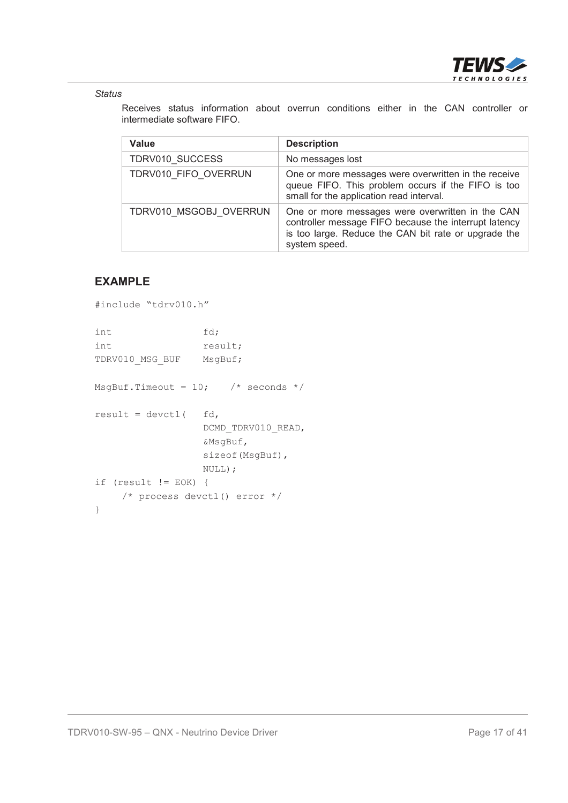

#### *Status*

Receives status information about overrun conditions either in the CAN controller or intermediate software FIFO.

| Value                  | <b>Description</b>                                                                                                                                                                 |  |
|------------------------|------------------------------------------------------------------------------------------------------------------------------------------------------------------------------------|--|
| TDRV010 SUCCESS        | No messages lost                                                                                                                                                                   |  |
| TDRV010 FIFO OVERRUN   | One or more messages were overwritten in the receive<br>queue FIFO. This problem occurs if the FIFO is too<br>small for the application read interval.                             |  |
| TDRV010 MSGOBJ OVERRUN | One or more messages were overwritten in the CAN<br>controller message FIFO because the interrupt latency<br>is too large. Reduce the CAN bit rate or upgrade the<br>system speed. |  |

#### **EXAMPLE**

```
#include "tdrv010.h"
int fd;
int result;
TDRV010 MSG BUF MsgBuf;
MsgBuf.Timeout = 10; /* seconds */
result = devct1( fd,
                DCMD_TDRV010_READ,
                &MsgBuf,
                sizeof(MsgBuf),
                NULL);
if (result != EOK) {
   /* process devctl() error */
}
```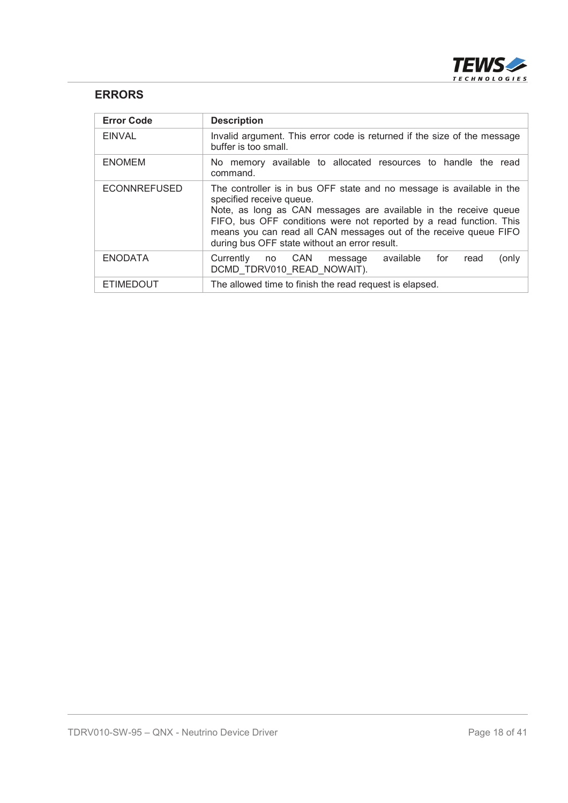

#### **ERRORS**

| <b>Error Code</b>   | <b>Description</b>                                                                                                                                                                                                                                                                                                                                                 |
|---------------------|--------------------------------------------------------------------------------------------------------------------------------------------------------------------------------------------------------------------------------------------------------------------------------------------------------------------------------------------------------------------|
| <b>EINVAL</b>       | Invalid argument. This error code is returned if the size of the message<br>buffer is too small.                                                                                                                                                                                                                                                                   |
| <b>ENOMEM</b>       | No memory available to allocated resources to handle the read<br>command.                                                                                                                                                                                                                                                                                          |
| <b>ECONNREFUSED</b> | The controller is in bus OFF state and no message is available in the<br>specified receive queue.<br>Note, as long as CAN messages are available in the receive queue<br>FIFO, bus OFF conditions were not reported by a read function. This<br>means you can read all CAN messages out of the receive queue FIFO<br>during bus OFF state without an error result. |
| <b>ENODATA</b>      | message available for<br>Currently no CAN<br>read<br>(only<br>DCMD TDRV010 READ NOWAIT).                                                                                                                                                                                                                                                                           |
| <b>ETIMEDOUT</b>    | The allowed time to finish the read request is elapsed.                                                                                                                                                                                                                                                                                                            |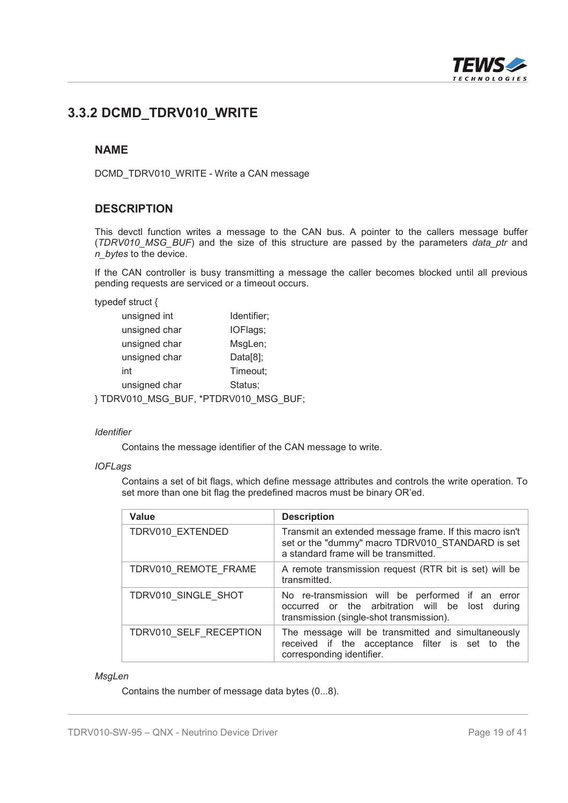

# **3.3.2 DCMD\_TDRV010\_WRITE**

#### **NAME**

DCMD\_TDRV010\_WRITE - Write a CAN message

#### **DESCRIPTION**

This devctl function writes a message to the CAN bus. A pointer to the callers message buffer (*TDRV010\_MSG\_BUF*) and the size of this structure are passed by the parameters *data\_ptr* and *n\_bytes* to the device.

If the CAN controller is busy transmitting a message the caller becomes blocked until all previous pending requests are serviced or a timeout occurs.

typedef struct {

| unsigned int  | Identifier; |
|---------------|-------------|
| unsigned char | IOFlags;    |
| unsigned char | MsgLen;     |
| unsigned char | $Data[8]$ ; |
| int           | Timeout;    |
| unsigned char | Status;     |
| MSG           | MSG         |

} TDRV010\_MSG\_BUF, \*PTDRV010\_MSG\_BUF;

#### *Identifier*

Contains the message identifier of the CAN message to write.

#### *IOFLags*

Contains a set of bit flags, which define message attributes and controls the write operation. To set more than one bit flag the predefined macros must be binary OR'ed.

| <b>Value</b>           | <b>Description</b>                                                                                                                                   |
|------------------------|------------------------------------------------------------------------------------------------------------------------------------------------------|
| TDRV010 EXTENDED       | Transmit an extended message frame. If this macro isn't<br>set or the "dummy" macro TDRV010 STANDARD is set<br>a standard frame will be transmitted. |
| TDRV010 REMOTE FRAME   | A remote transmission request (RTR bit is set) will be<br>transmitted.                                                                               |
| TDRV010 SINGLE SHOT    | No re-transmission will be performed if an error<br>occurred or the arbitration will be lost during<br>transmission (single-shot transmission).      |
| TDRV010 SELF RECEPTION | The message will be transmitted and simultaneously<br>received if the acceptance filter is set to the<br>corresponding identifier.                   |

#### *MsgLen*

Contains the number of message data bytes (0...8).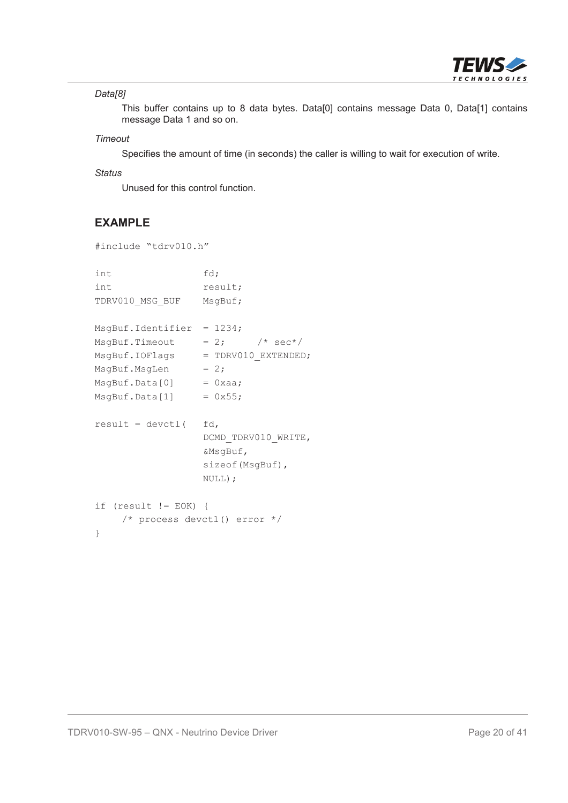

#### *Data[8]*

This buffer contains up to 8 data bytes. Data[0] contains message Data 0, Data[1] contains message Data 1 and so on.

#### *Timeout*

Specifies the amount of time (in seconds) the caller is willing to wait for execution of write.

#### *Status*

Unused for this control function.

#### **EXAMPLE**

```
#include "tdrv010.h"
```

```
int fd;
int result;
TDRV010 MSG BUF MsgBuf;
MsgBuf.Identifier = 1234;
MsgBuf.Timeout = 2; /* sec*/
MsgBuf.IOFlags = TDRV010_EXTENDED;
MsgBuf.MsgLen = 2;MsgBuf.Data[0] = 0xaa;MsgBuf.Data[1] = 0x55;result = devct1( fd,
                DCMD_TDRV010_WRITE,
                &MsgBuf,
                sizeof(MsgBuf),
                NULL);
if (result != EOK) {
    /* process devctl() error */
}
```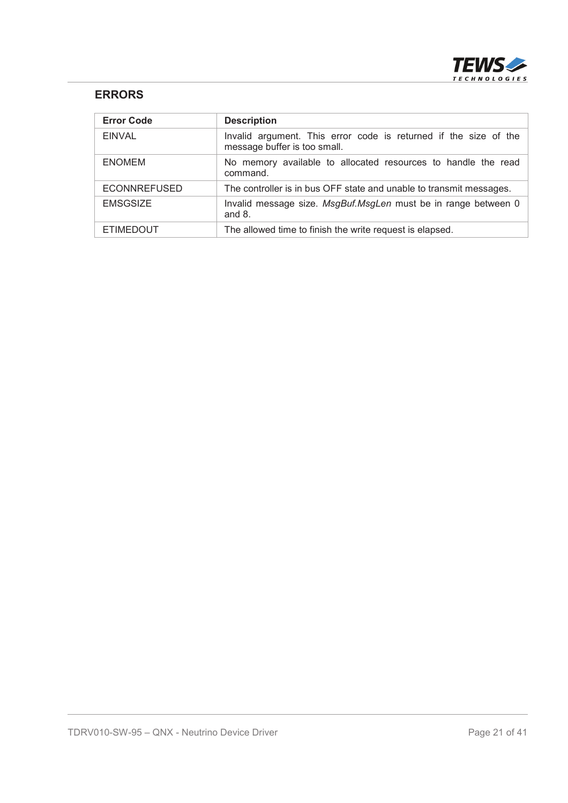

#### **ERRORS**

| <b>Error Code</b>   | <b>Description</b>                                                                               |
|---------------------|--------------------------------------------------------------------------------------------------|
| <b>EINVAL</b>       | Invalid argument. This error code is returned if the size of the<br>message buffer is too small. |
| <b>ENOMEM</b>       | No memory available to allocated resources to handle the read<br>command.                        |
| <b>ECONNREFUSED</b> | The controller is in bus OFF state and unable to transmit messages.                              |
| <b>EMSGSIZE</b>     | Invalid message size. MsgBuf.MsgLen must be in range between 0<br>and $8.$                       |
| <b>ETIMEDOUT</b>    | The allowed time to finish the write request is elapsed.                                         |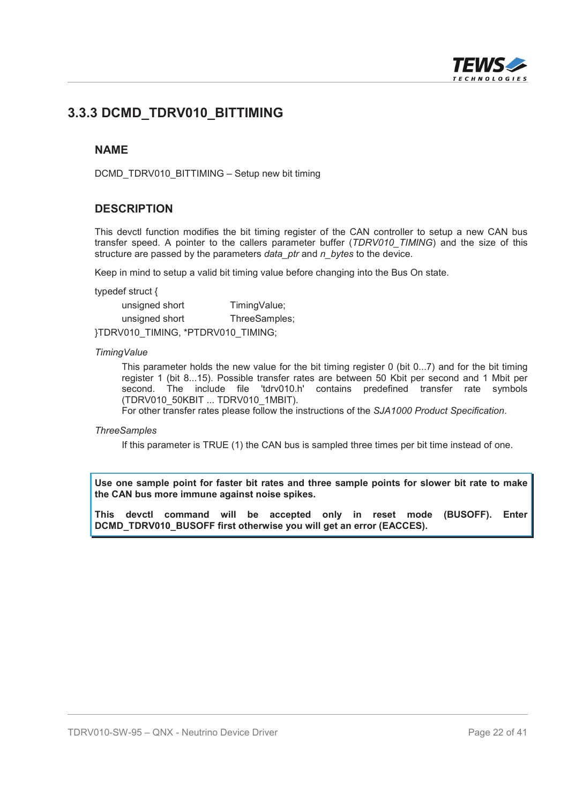

# **3.3.3 DCMD\_TDRV010\_BITTIMING**

#### **NAME**

DCMD\_TDRV010\_BITTIMING – Setup new bit timing

#### **DESCRIPTION**

This devctl function modifies the bit timing register of the CAN controller to setup a new CAN bus transfer speed. A pointer to the callers parameter buffer (*TDRV010\_TIMING*) and the size of this structure are passed by the parameters *data\_ptr* and *n\_bytes* to the device.

Keep in mind to setup a valid bit timing value before changing into the Bus On state.

typedef struct {

| unsigned short | TimingValue;  |
|----------------|---------------|
| unsigned short | ThreeSamples; |
|                |               |

}TDRV010\_TIMING, \*PTDRV010\_TIMING;

#### *TimingValue*

This parameter holds the new value for the bit timing register 0 (bit 0...7) and for the bit timing register 1 (bit 8...15). Possible transfer rates are between 50 Kbit per second and 1 Mbit per second. The include file 'tdrv010.h' contains predefined transfer rate symbols (TDRV010\_50KBIT ... TDRV010\_1MBIT).

For other transfer rates please follow the instructions of the *SJA1000 Product Specification*.

#### *ThreeSamples*

If this parameter is TRUE (1) the CAN bus is sampled three times per bit time instead of one.

**Use one sample point for faster bit rates and three sample points for slower bit rate to make the CAN bus more immune against noise spikes.**

**This devctl command will be accepted only in reset mode (BUSOFF). Enter DCMD\_TDRV010\_BUSOFF first otherwise you will get an error (EACCES).**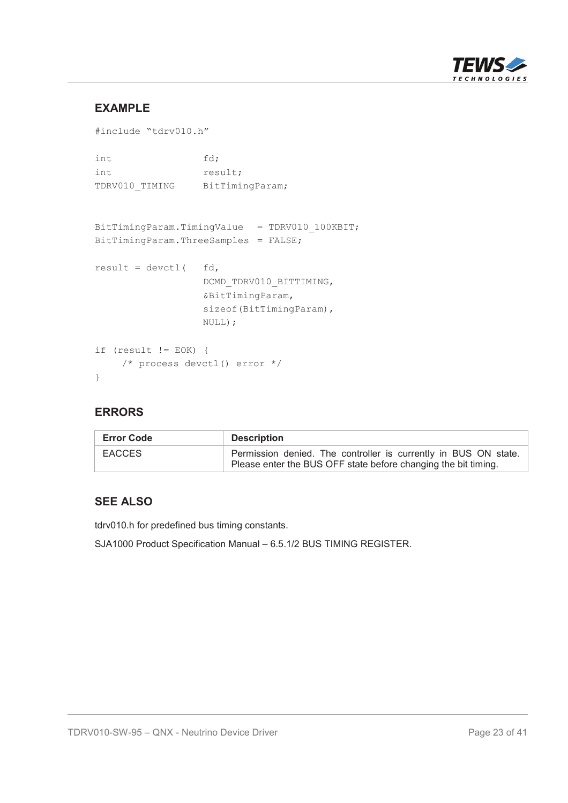

#### **EXAMPLE**

```
#include "tdrv010.h"
int fd;
int result;
TDRV010 TIMING BitTimingParam;
BitTimingParam.TimingValue = TDRV010 100KBIT;
BitTimingParam.ThreeSamples = FALSE;
result = devctl ( fd,
                 DCMD_TDRV010_BITTIMING,
                 &BitTimingParam,
                 sizeof(BitTimingParam),
                 NULL);
if (result != EOK) {
    /* process devctl() error */
}
```
#### **ERRORS**

| <b>Error Code</b> | <b>Description</b>                                                                                                                |
|-------------------|-----------------------------------------------------------------------------------------------------------------------------------|
| <b>EACCES</b>     | Permission denied. The controller is currently in BUS ON state.<br>Please enter the BUS OFF state before changing the bit timing. |

#### **SEE ALSO**

tdrv010.h for predefined bus timing constants.

SJA1000 Product Specification Manual – 6.5.1/2 BUS TIMING REGISTER.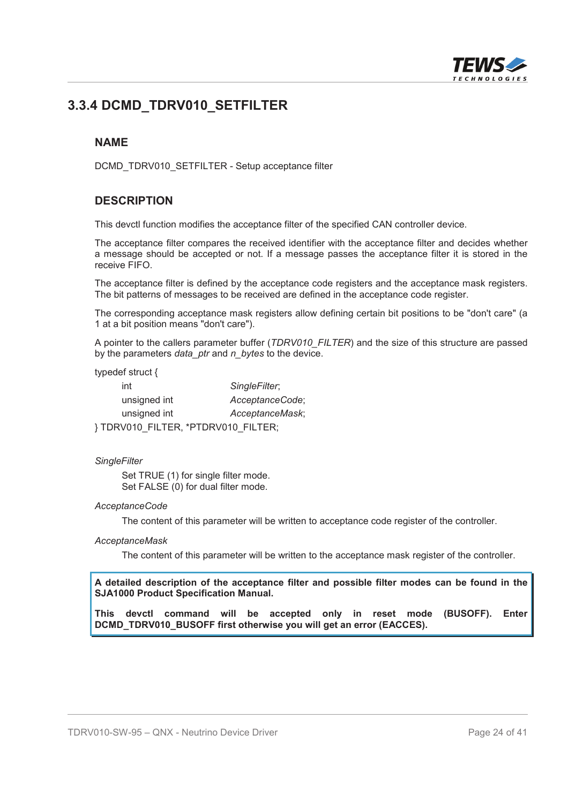

## **3.3.4 DCMD\_TDRV010\_SETFILTER**

#### **NAME**

DCMD\_TDRV010\_SETFILTER - Setup acceptance filter

#### **DESCRIPTION**

This devctl function modifies the acceptance filter of the specified CAN controller device.

The acceptance filter compares the received identifier with the acceptance filter and decides whether a message should be accepted or not. If a message passes the acceptance filter it is stored in the receive FIFO.

The acceptance filter is defined by the acceptance code registers and the acceptance mask registers. The bit patterns of messages to be received are defined in the acceptance code register.

The corresponding acceptance mask registers allow defining certain bit positions to be "don't care" (a 1 at a bit position means "don't care").

A pointer to the callers parameter buffer (*TDRV010\_FILTER*) and the size of this structure are passed by the parameters *data\_ptr* and *n\_bytes* to the device.

typedef struct {

| int                                | SingleFilter;   |
|------------------------------------|-----------------|
| unsigned int                       | AcceptanceCode; |
| unsigned int                       | AcceptanceMask; |
| }TDRV010_FILTER, *PTDRV010_FILTER; |                 |

#### *SingleFilter*

Set TRUE (1) for single filter mode. Set FALSE (0) for dual filter mode.

#### *AcceptanceCode*

The content of this parameter will be written to acceptance code register of the controller.

#### *AcceptanceMask*

The content of this parameter will be written to the acceptance mask register of the controller.

**A detailed description of the acceptance filter and possible filter modes can be found in the SJA1000 Product Specification Manual.**

**This devctl command will be accepted only in reset mode (BUSOFF). Enter DCMD\_TDRV010\_BUSOFF first otherwise you will get an error (EACCES).**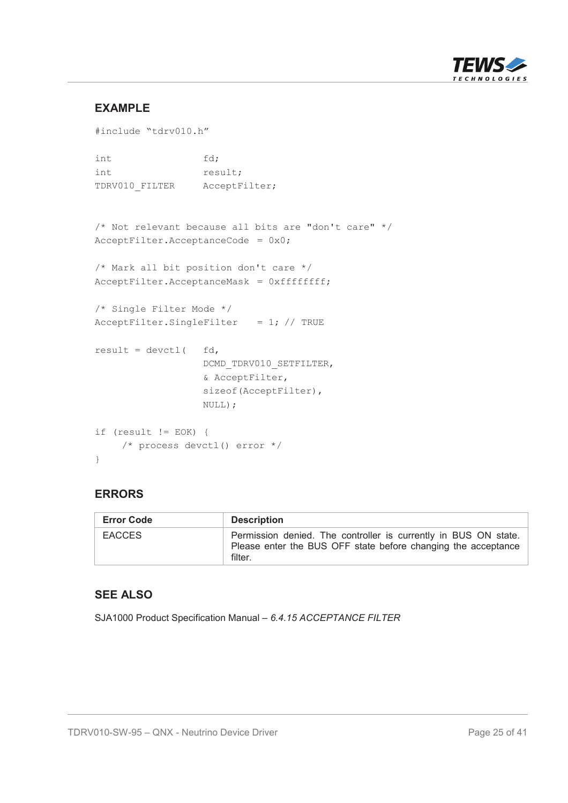

#### **EXAMPLE**

```
#include "tdrv010.h"
int fd;
int result;
TDRV010 FILTER AcceptFilter;
/* Not relevant because all bits are "don't care" */
AcceptFilter.AcceptanceCode = 0x0;/* Mark all bit position don't care */
AcceptFilter.AcceptanceMask = 0xffffffff;
/* Single Filter Mode */
AcceptFilter.SingleFilter = 1; // TRUE
result = devct1( fd,
                 DCMD_TDRV010_SETFILTER,
                 & AcceptFilter,
                 sizeof(AcceptFilter),
                 NULL);
if (result != EOK) {
   /* process devctl() error */
}
```
#### **ERRORS**

| <b>Error Code</b> | <b>Description</b>                                                                                                                          |
|-------------------|---------------------------------------------------------------------------------------------------------------------------------------------|
| <b>EACCES</b>     | Permission denied. The controller is currently in BUS ON state.<br>Please enter the BUS OFF state before changing the acceptance<br>filter. |

#### **SEE ALSO**

SJA1000 Product Specification Manual – *6.4.15 ACCEPTANCE FILTER*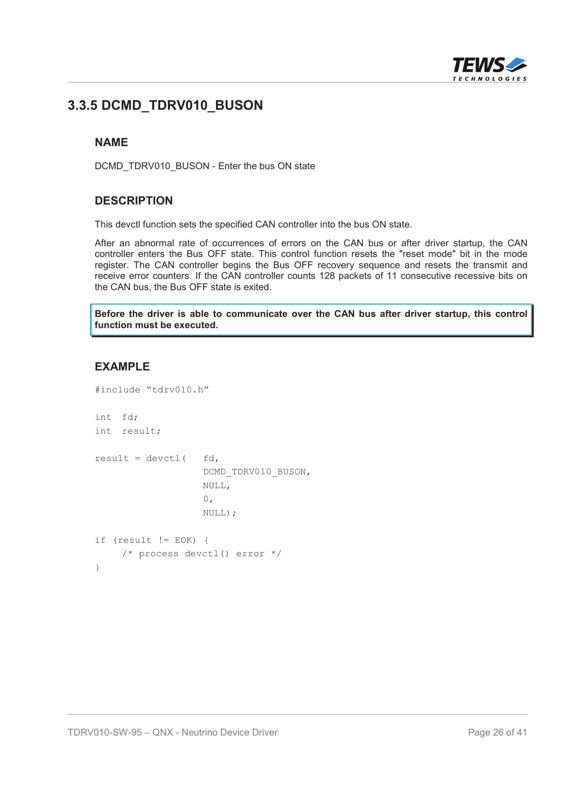

## **3.3.5 DCMD\_TDRV010\_BUSON**

#### **NAME**

DCMD\_TDRV010\_BUSON - Enter the bus ON state

#### **DESCRIPTION**

This devctl function sets the specified CAN controller into the bus ON state.

After an abnormal rate of occurrences of errors on the CAN bus or after driver startup, the CAN controller enters the Bus OFF state. This control function resets the "reset mode" bit in the mode register. The CAN controller begins the Bus OFF recovery sequence and resets the transmit and receive error counters. If the CAN controller counts 128 packets of 11 consecutive recessive bits on the CAN bus, the Bus OFF state is exited.

**Before the driver is able to communicate over the CAN bus after driver startup, this control function must be executed.**

#### **EXAMPLE**

```
#include "tdrv010.h"
int fd;
int result;
result = devctl ( fd,
                   DCMD_TDRV010_BUSON,
                   NULL,
                   0,NULL);
if (result != EOK) {
    /* process devctl() error */
}
```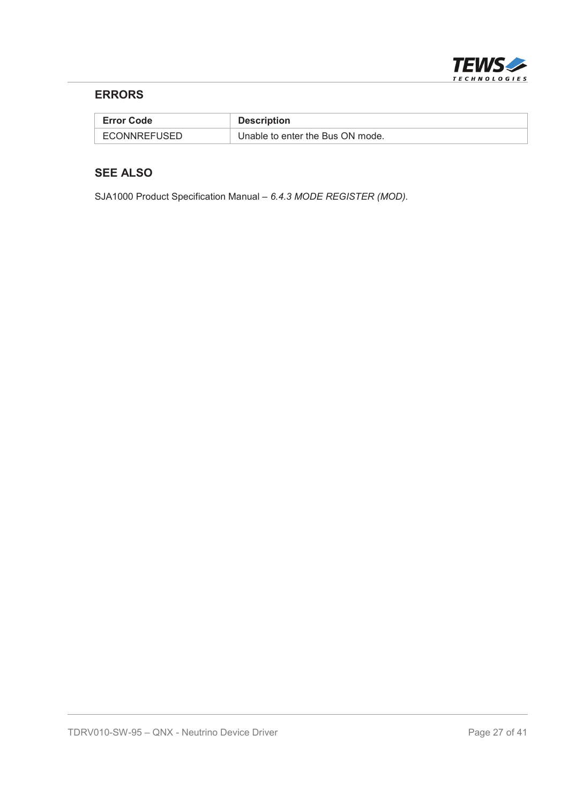

#### **ERRORS**

| <b>Error Code</b> | <b>Description</b>               |
|-------------------|----------------------------------|
| ECONNREFUSED      | Unable to enter the Bus ON mode. |

#### **SEE ALSO**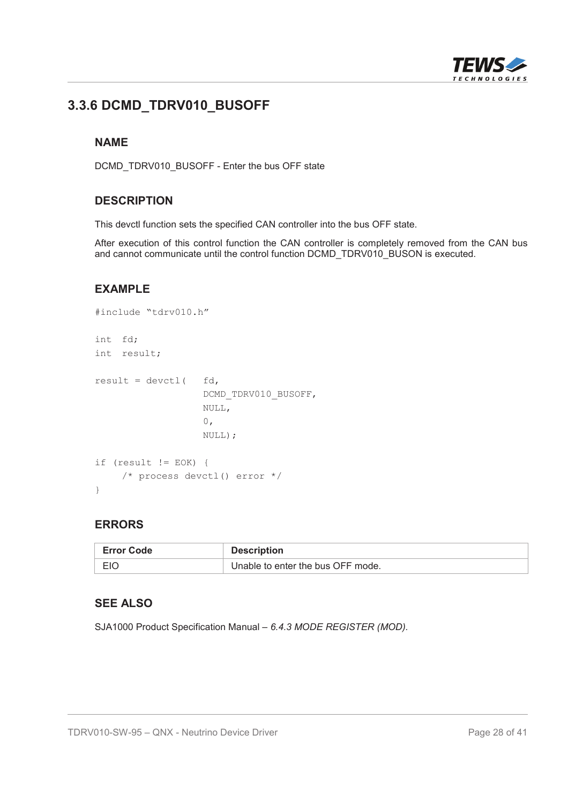

# **3.3.6 DCMD\_TDRV010\_BUSOFF**

#### **NAME**

DCMD\_TDRV010\_BUSOFF - Enter the bus OFF state

#### **DESCRIPTION**

This devctl function sets the specified CAN controller into the bus OFF state.

After execution of this control function the CAN controller is completely removed from the CAN bus and cannot communicate until the control function DCMD\_TDRV010\_BUSON is executed.

#### **EXAMPLE**

```
#include "tdrv010.h"
int fd;
int result;
result = devctl ( fd,
                   DCMD_TDRV010_BUSOFF,
                   NULL,
                   0,NULL);
if (result != EOK) {
    /* process devctl() error */
}
```
#### **ERRORS**

| <b>Error Code</b> | <b>Description</b>                |
|-------------------|-----------------------------------|
| <b>EIC</b>        | Unable to enter the bus OFF mode. |

#### **SEE ALSO**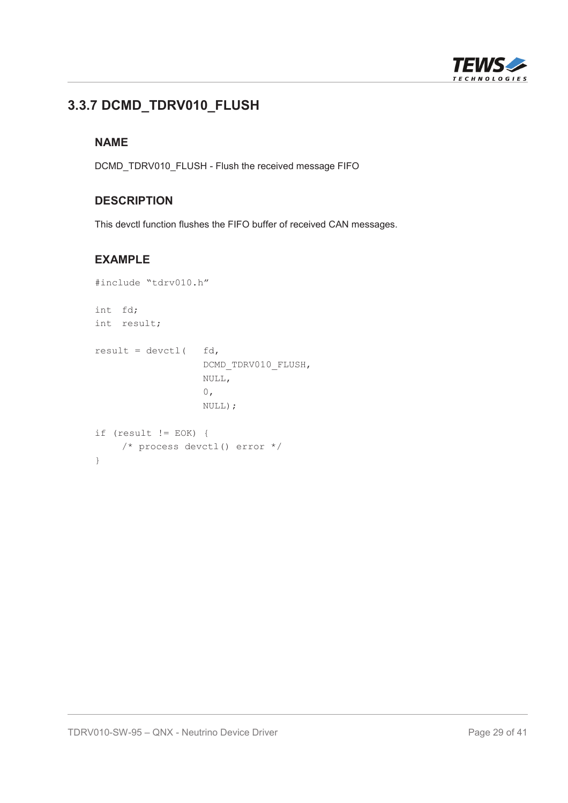

# **3.3.7 DCMD\_TDRV010\_FLUSH**

#### **NAME**

DCMD\_TDRV010\_FLUSH - Flush the received message FIFO

#### **DESCRIPTION**

This devctl function flushes the FIFO buffer of received CAN messages.

#### **EXAMPLE**

```
#include "tdrv010.h"
int fd;
int result;
result = devctl ( fd,
                  DCMD_TDRV010_FLUSH,
                  NULL,
                   0,NULL);
if (result != EOK) {
   /* process devctl() error */
}
```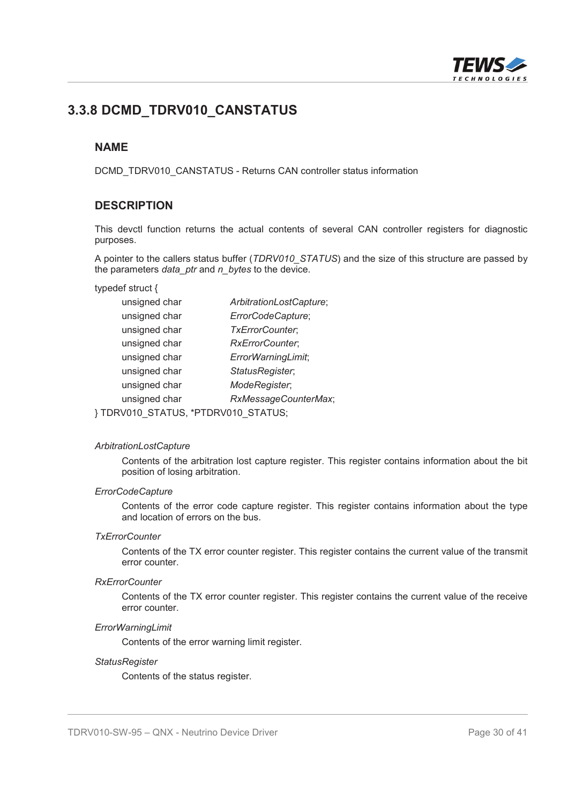

### **3.3.8 DCMD\_TDRV010\_CANSTATUS**

#### **NAME**

DCMD\_TDRV010\_CANSTATUS - Returns CAN controller status information

#### **DESCRIPTION**

This devctl function returns the actual contents of several CAN controller registers for diagnostic purposes.

A pointer to the callers status buffer (*TDRV010\_STATUS*) and the size of this structure are passed by the parameters *data\_ptr* and *n\_bytes* to the device.

typedef struct {

| unsigned char   | ArbitrationLostCapture;                          |
|-----------------|--------------------------------------------------|
| unsigned char   | ErrorCodeCapture;                                |
| unsigned char   | TxErrorCounter;                                  |
| unsigned char   | RxErrorCounter;                                  |
| unsigned char   | ErrorWarningLimit;                               |
| unsigned char   | StatusRegister;                                  |
| unsigned char   | ModeRegister;                                    |
| unsigned char   | RxMessageCounterMax;                             |
| 0.7110<br>מי הר | $\sim$ $\sim$ $\sim$ $\sim$ $\sim$<br>$\sqrt{ }$ |

} TDRV010\_STATUS, \*PTDRV010\_STATUS;

#### *ArbitrationLostCapture*

Contents of the arbitration lost capture register. This register contains information about the bit position of losing arbitration.

#### *ErrorCodeCapture*

Contents of the error code capture register. This register contains information about the type and location of errors on the bus.

#### *TxErrorCounter*

Contents of the TX error counter register. This register contains the current value of the transmit error counter.

#### *RxErrorCounter*

Contents of the TX error counter register. This register contains the current value of the receive error counter.

#### *ErrorWarningLimit*

Contents of the error warning limit register.

#### *StatusRegister*

Contents of the status register.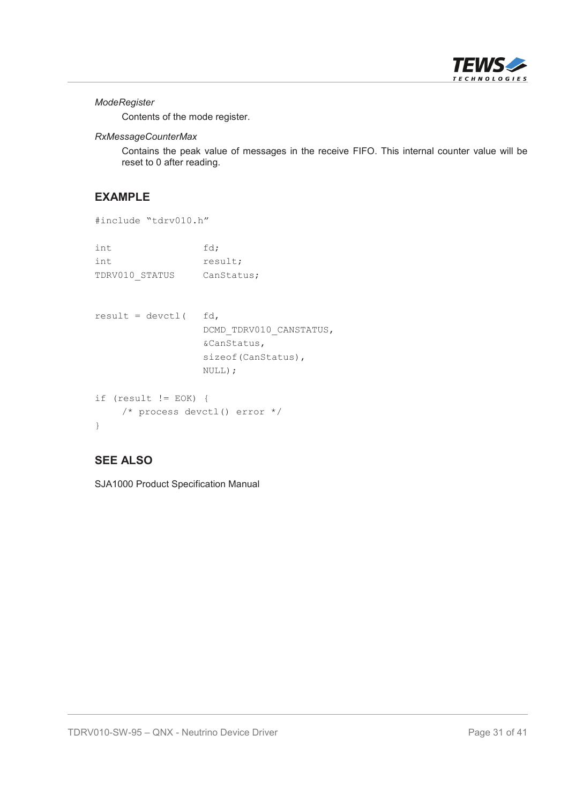

#### *ModeRegister*

Contents of the mode register.

#### *RxMessageCounterMax*

Contains the peak value of messages in the receive FIFO. This internal counter value will be reset to 0 after reading.

#### **EXAMPLE**

```
#include "tdrv010.h"
int fd;
int result;
TDRV010_STATUS CanStatus;
result = devct1( fd,
                DCMD_TDRV010_CANSTATUS,
                &CanStatus,
                sizeof(CanStatus),
                NULL);
if (result != EOK) {
   /* process devctl() error */
}
```
#### **SEE ALSO**

SJA1000 Product Specification Manual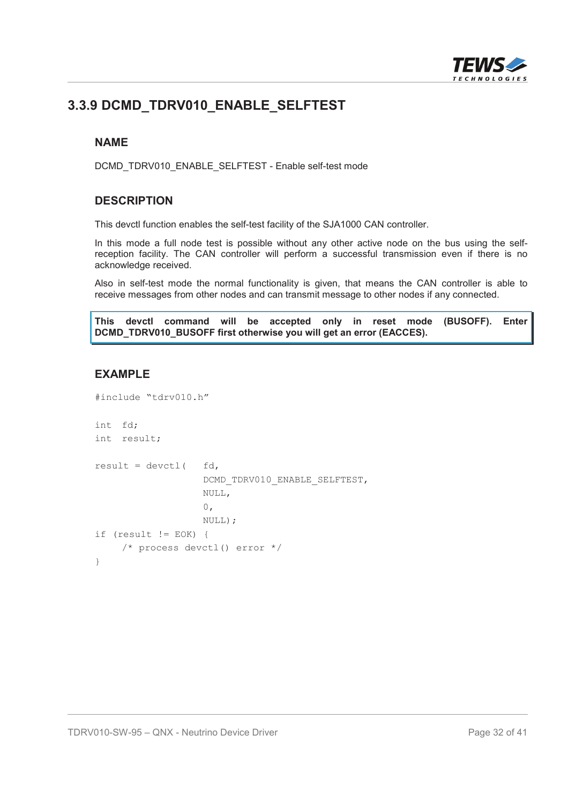

# **3.3.9 DCMD\_TDRV010\_ENABLE\_SELFTEST**

#### **NAME**

DCMD\_TDRV010\_ENABLE\_SELFTEST - Enable self-test mode

#### **DESCRIPTION**

This devctl function enables the self-test facility of the SJA1000 CAN controller.

In this mode a full node test is possible without any other active node on the bus using the selfreception facility. The CAN controller will perform a successful transmission even if there is no acknowledge received.

Also in self-test mode the normal functionality is given, that means the CAN controller is able to receive messages from other nodes and can transmit message to other nodes if any connected.

**This devctl command will be accepted only in reset mode (BUSOFF). Enter DCMD\_TDRV010\_BUSOFF first otherwise you will get an error (EACCES).**

#### **EXAMPLE**

```
#include "tdrv010.h"
int fd;
int result;
result = devct1( fd,
                   DCMD_TDRV010_ENABLE_SELFTEST,
                   NULL,
                   0,
                   NULL);
if (result != EOK) {
    /* process devctl() error */
}
```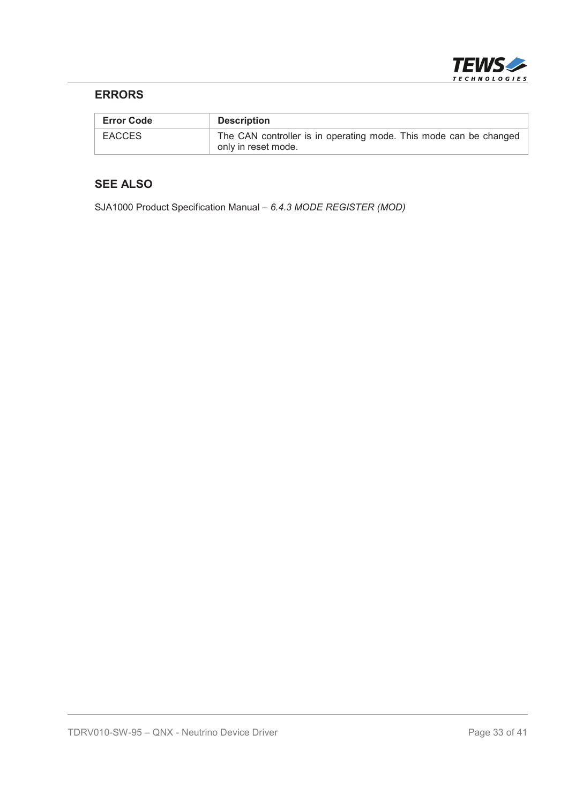

#### **ERRORS**

| <b>Error Code</b> | <b>Description</b>                                                                       |
|-------------------|------------------------------------------------------------------------------------------|
| EACCES            | The CAN controller is in operating mode. This mode can be changed<br>only in reset mode. |

#### **SEE ALSO**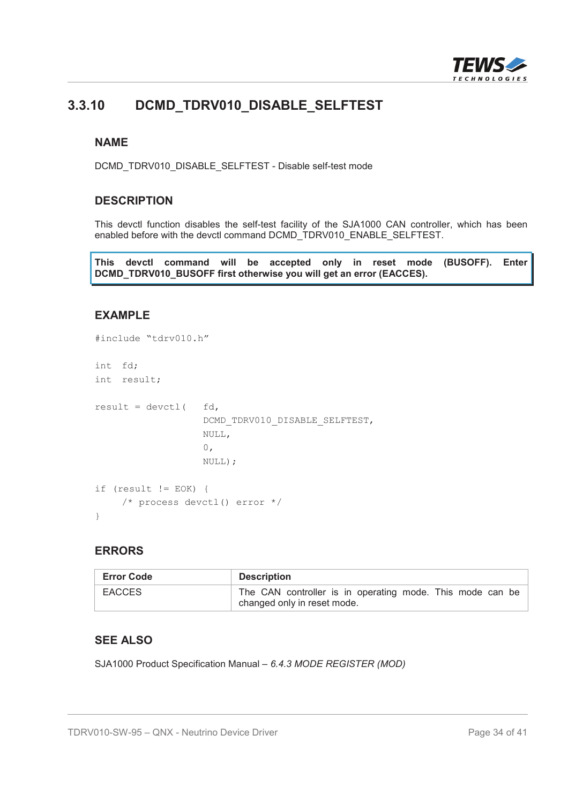

## **3.3.10 DCMD\_TDRV010\_DISABLE\_SELFTEST**

#### **NAME**

DCMD\_TDRV010\_DISABLE\_SELFTEST - Disable self-test mode

#### **DESCRIPTION**

This devctl function disables the self-test facility of the SJA1000 CAN controller, which has been enabled before with the devctl command DCMD\_TDRV010\_ENABLE\_SELFTEST.

**This devctl command will be accepted only in reset mode (BUSOFF). Enter DCMD\_TDRV010\_BUSOFF first otherwise you will get an error (EACCES).**

#### **EXAMPLE**

```
#include "tdrv010.h"
int fd;
int result;
result = devct1( fd,
                   DCMD_TDRV010_DISABLE_SELFTEST,
                   NULL,
                   0,
                   NULL);
if (result != EOK) {
    /* process devctl() error */
}
```
#### **ERRORS**

| <b>Error Code</b> | <b>Description</b>                                                                       |
|-------------------|------------------------------------------------------------------------------------------|
| <b>EACCES</b>     | The CAN controller is in operating mode. This mode can be<br>changed only in reset mode. |

#### **SEE ALSO**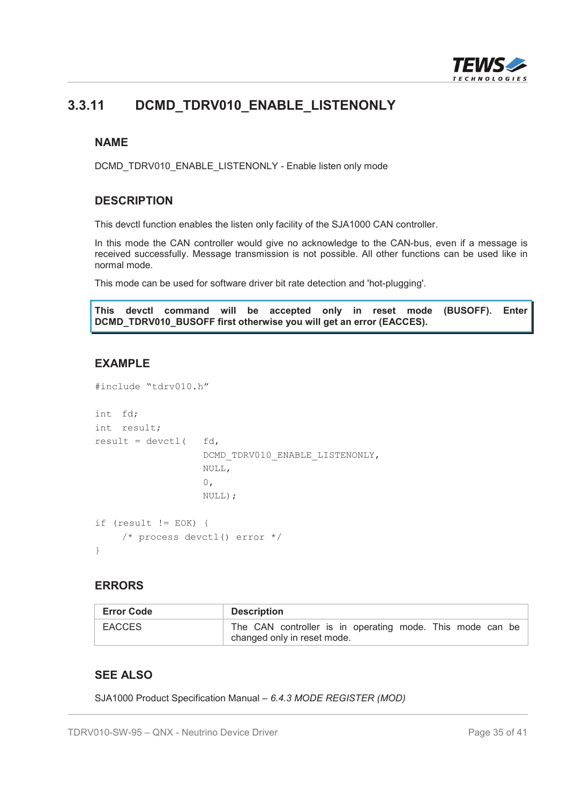

## **3.3.11 DCMD\_TDRV010\_ENABLE\_LISTENONLY**

#### **NAME**

DCMD\_TDRV010\_ENABLE\_LISTENONLY - Enable listen only mode

#### **DESCRIPTION**

This devctl function enables the listen only facility of the SJA1000 CAN controller.

In this mode the CAN controller would give no acknowledge to the CAN-bus, even if a message is received successfully. Message transmission is not possible. All other functions can be used like in normal mode.

This mode can be used for software driver bit rate detection and 'hot-plugging'.

**This devctl command will be accepted only in reset mode (BUSOFF). Enter DCMD\_TDRV010\_BUSOFF first otherwise you will get an error (EACCES).**

#### **EXAMPLE**

```
#include "tdrv010.h"
int fd;
int result;
result = devctl ( fd,
                   DCMD_TDRV010_ENABLE_LISTENONLY,
                   NULL,
                   0,
                   NULL);
if (result != EOK) {
    /* process devctl() error */
}
```
#### **ERRORS**

| <b>Error Code</b> | <b>Description</b>                                                                       |
|-------------------|------------------------------------------------------------------------------------------|
| <b>EACCES</b>     | The CAN controller is in operating mode. This mode can be<br>changed only in reset mode. |

#### **SEE ALSO**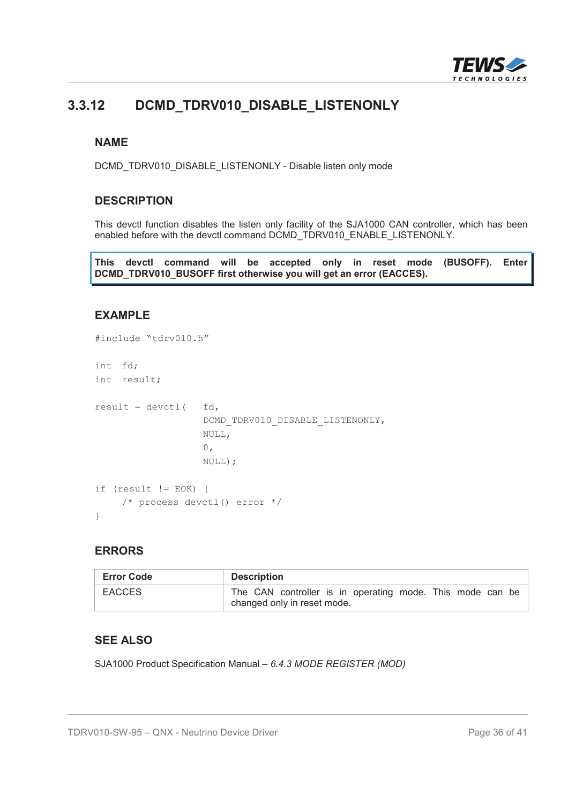

# **3.3.12 DCMD\_TDRV010\_DISABLE\_LISTENONLY**

#### **NAME**

DCMD\_TDRV010\_DISABLE\_LISTENONLY - Disable listen only mode

#### **DESCRIPTION**

This devctl function disables the listen only facility of the SJA1000 CAN controller, which has been enabled before with the devctl command DCMD\_TDRV010\_ENABLE\_LISTENONLY.

**This devctl command will be accepted only in reset mode (BUSOFF). Enter DCMD\_TDRV010\_BUSOFF first otherwise you will get an error (EACCES).**

#### **EXAMPLE**

```
#include "tdrv010.h"
int fd;
int result;
result = devctl ( fd,
                   DCMD_TDRV010_DISABLE_LISTENONLY,
                   NULL,
                   0,
                   NULL);
if (result != EOK) {
    /* process devctl() error */
}
```
#### **ERRORS**

| <b>Error Code</b> | <b>Description</b>                                                                       |
|-------------------|------------------------------------------------------------------------------------------|
| <b>EACCES</b>     | The CAN controller is in operating mode. This mode can be<br>changed only in reset mode. |

#### **SEE ALSO**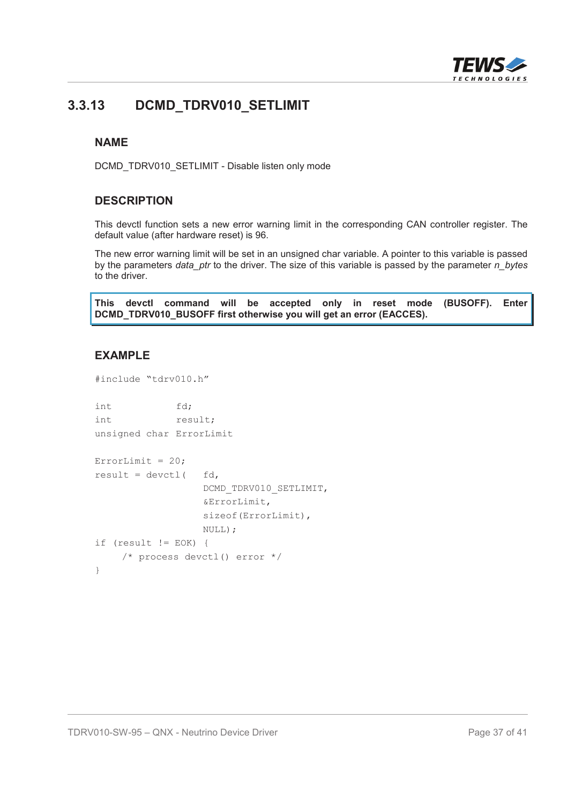

### **3.3.13 DCMD\_TDRV010\_SETLIMIT**

#### **NAME**

DCMD\_TDRV010\_SETLIMIT - Disable listen only mode

#### **DESCRIPTION**

This devctl function sets a new error warning limit in the corresponding CAN controller register. The default value (after hardware reset) is 96.

The new error warning limit will be set in an unsigned char variable. A pointer to this variable is passed by the parameters *data\_ptr* to the driver. The size of this variable is passed by the parameter *n\_bytes* to the driver.

**This devctl command will be accepted only in reset mode (BUSOFF). Enter DCMD\_TDRV010\_BUSOFF first otherwise you will get an error (EACCES).**

#### **EXAMPLE**

```
#include "tdrv010.h"
int fd;
int result;
unsigned char ErrorLimit
ErrorLimit = 20;result = devct1( fd,
                 DCMD_TDRV010_SETLIMIT,
                 &ErrorLimit,
                 sizeof(ErrorLimit),
                 NULL);
if (result != EOK) {
    /* process devctl() error */
}
```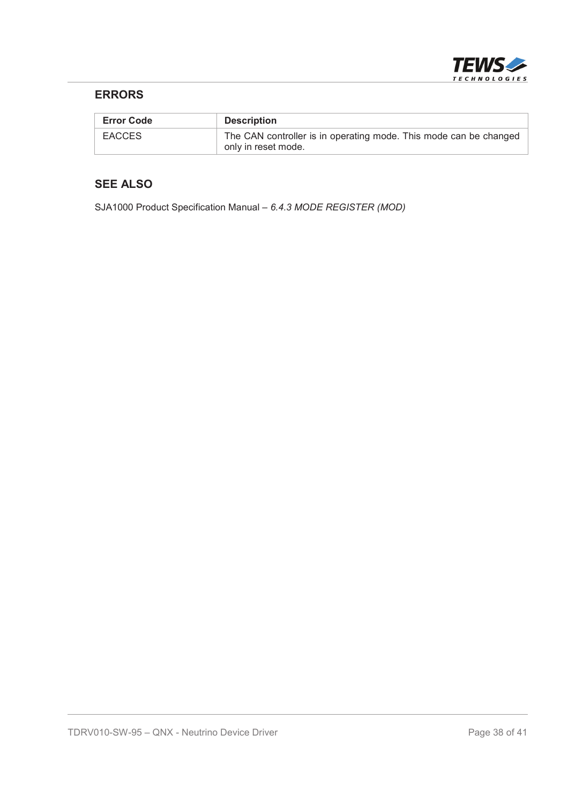

#### **ERRORS**

| <b>Error Code</b> | <b>Description</b>                                                                       |
|-------------------|------------------------------------------------------------------------------------------|
| <b>EACCES</b>     | The CAN controller is in operating mode. This mode can be changed<br>only in reset mode. |

#### **SEE ALSO**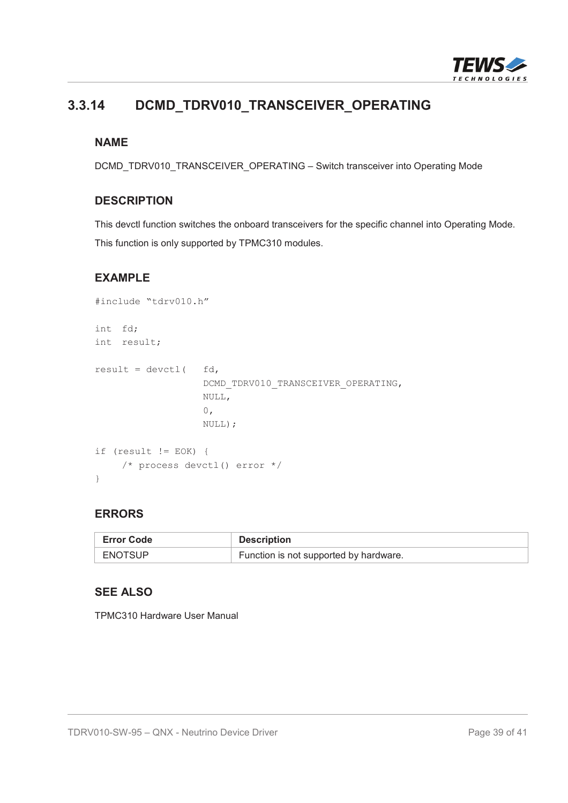

# **3.3.14 DCMD\_TDRV010\_TRANSCEIVER\_OPERATING**

#### **NAME**

DCMD\_TDRV010\_TRANSCEIVER\_OPERATING – Switch transceiver into Operating Mode

#### **DESCRIPTION**

This devctl function switches the onboard transceivers for the specific channel into Operating Mode. This function is only supported by TPMC310 modules.

#### **EXAMPLE**

```
#include "tdrv010.h"
int fd;
int result;
result = devct1( fd,
                  DCMD_TDRV010_TRANSCEIVER_OPERATING,
                  NULL,
                   0,NULL);
if (result != EOK) {
    /* process devctl() error */
}
```
#### **ERRORS**

| <b>Error Code</b> | <b>Description</b>                     |
|-------------------|----------------------------------------|
| <b>ENOTSUP</b>    | Function is not supported by hardware. |

#### **SEE ALSO**

TPMC310 Hardware User Manual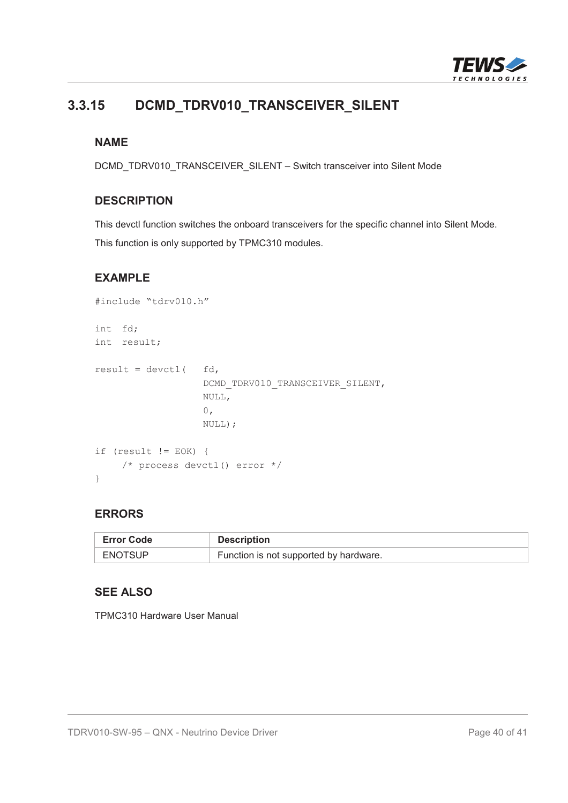

# **3.3.15 DCMD\_TDRV010\_TRANSCEIVER\_SILENT**

#### **NAME**

DCMD\_TDRV010\_TRANSCEIVER\_SILENT – Switch transceiver into Silent Mode

#### **DESCRIPTION**

This devctl function switches the onboard transceivers for the specific channel into Silent Mode. This function is only supported by TPMC310 modules.

#### **EXAMPLE**

```
#include "tdrv010.h"
int fd;
int result;
result = devct1( fd,
                  DCMD_TDRV010_TRANSCEIVER_SILENT,
                  NULL,
                   0,NULL);
if (result != EOK) {
    /* process devctl() error */
}
```
#### **ERRORS**

| <b>Error Code</b> | <b>Description</b>                     |
|-------------------|----------------------------------------|
| <b>ENOTSUP</b>    | Function is not supported by hardware. |

#### **SEE ALSO**

TPMC310 Hardware User Manual